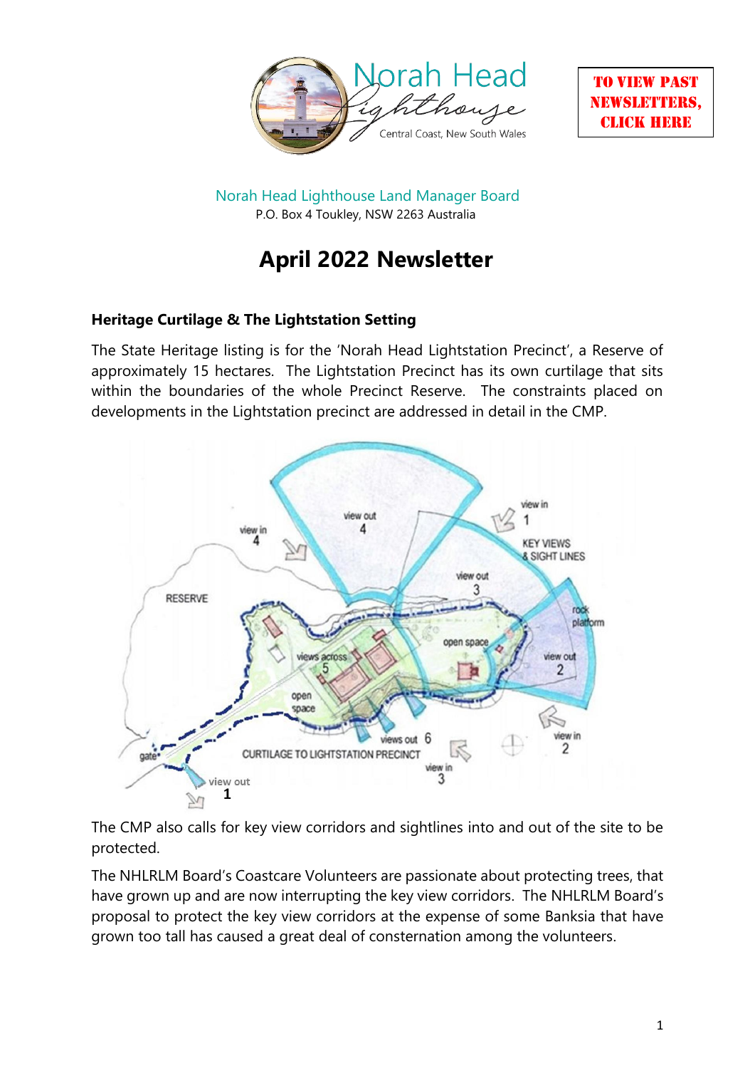



Norah Head Lighthouse Land Manager Board P.O. Box 4 Toukley, NSW 2263 Australia

# **April 2022 Newsletter**

# **Heritage Curtilage & The Lightstation Setting**

The State Heritage listing is for the 'Norah Head Lightstation Precinct', a Reserve of approximately 15 hectares. The Lightstation Precinct has its own curtilage that sits within the boundaries of the whole Precinct Reserve. The constraints placed on developments in the Lightstation precinct are addressed in detail in the CMP.



The CMP also calls for key view corridors and sightlines into and out of the site to be protected.

The NHLRLM Board's Coastcare Volunteers are passionate about protecting trees, that have grown up and are now interrupting the key view corridors. The NHLRLM Board's proposal to protect the key view corridors at the expense of some Banksia that have grown too tall has caused a great deal of consternation among the volunteers.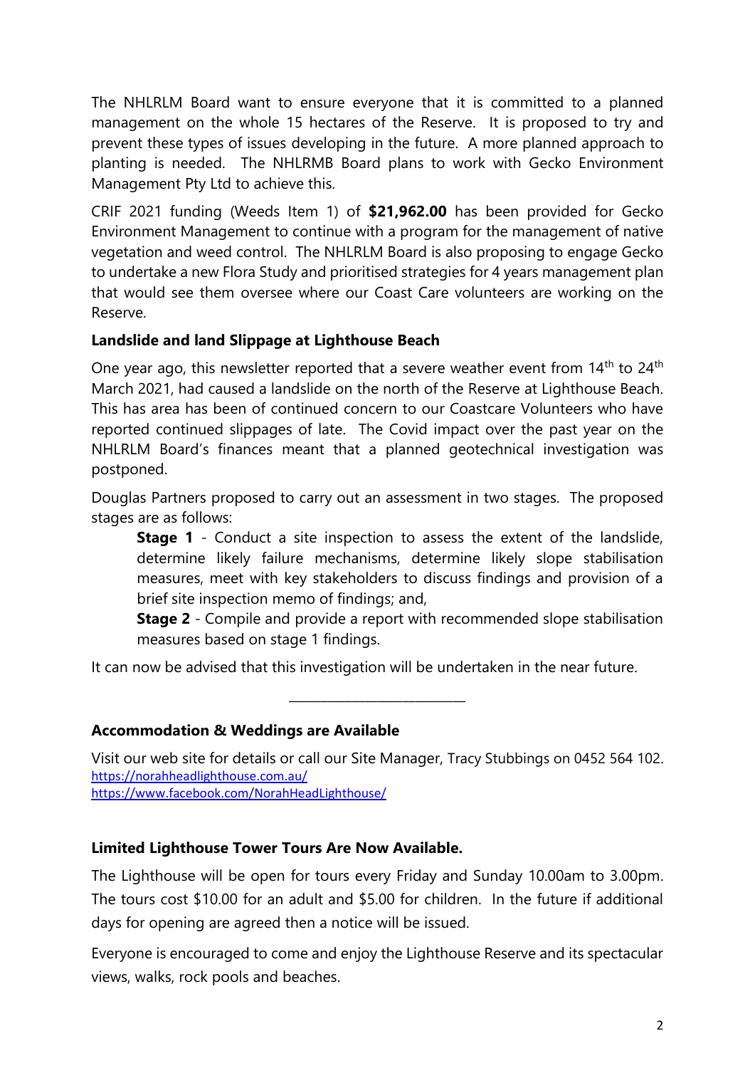The NHLRLM Board want to ensure everyone that it is committed to a planned management on the whole 15 hectares of the Reserve. It is proposed to try and prevent these types of issues developing in the future. A more planned approach to planting is needed. The NHLRMB Board plans to work with Gecko Environment Management Pty Ltd to achieve this.

CRIF 2021 funding (Weeds Item 1) of **\$21,962.00** has been provided for Gecko Environment Management to continue with a program for the management of native vegetation and weed control. The NHLRLM Board is also proposing to engage Gecko to undertake a new Flora Study and prioritised strategies for 4 years management plan that would see them oversee where our Coast Care volunteers are working on the Reserve.

## **Landslide and land Slippage at Lighthouse Beach**

One year ago, this newsletter reported that a severe weather event from  $14<sup>th</sup>$  to  $24<sup>th</sup>$ March 2021, had caused a landslide on the north of the Reserve at Lighthouse Beach. This has area has been of continued concern to our Coastcare Volunteers who have reported continued slippages of late. The Covid impact over the past year on the NHLRLM Board's finances meant that a planned geotechnical investigation was postponed.

Douglas Partners proposed to carry out an assessment in two stages. The proposed stages are as follows:

**Stage 1** - Conduct a site inspection to assess the extent of the landslide, determine likely failure mechanisms, determine likely slope stabilisation measures, meet with key stakeholders to discuss findings and provision of a brief site inspection memo of findings; and,

**Stage 2** - Compile and provide a report with recommended slope stabilisation measures based on stage 1 findings.

It can now be advised that this investigation will be undertaken in the near future.

#### **Accommodation & Weddings are Available**

Visit our web site for details or call our Site Manager, Tracy Stubbings on 0452 564 102. <https://norahheadlighthouse.com.au/>

\_\_\_\_\_\_\_\_\_\_\_\_\_\_\_\_\_\_\_\_\_\_\_\_\_\_\_\_

<https://www.facebook.com/NorahHeadLighthouse/>

# **Limited Lighthouse Tower Tours Are Now Available.**

The Lighthouse will be open for tours every Friday and Sunday 10.00am to 3.00pm. The tours cost \$10.00 for an adult and \$5.00 for children. In the future if additional days for opening are agreed then a notice will be issued.

Everyone is encouraged to come and enjoy the Lighthouse Reserve and its spectacular views, walks, rock pools and beaches.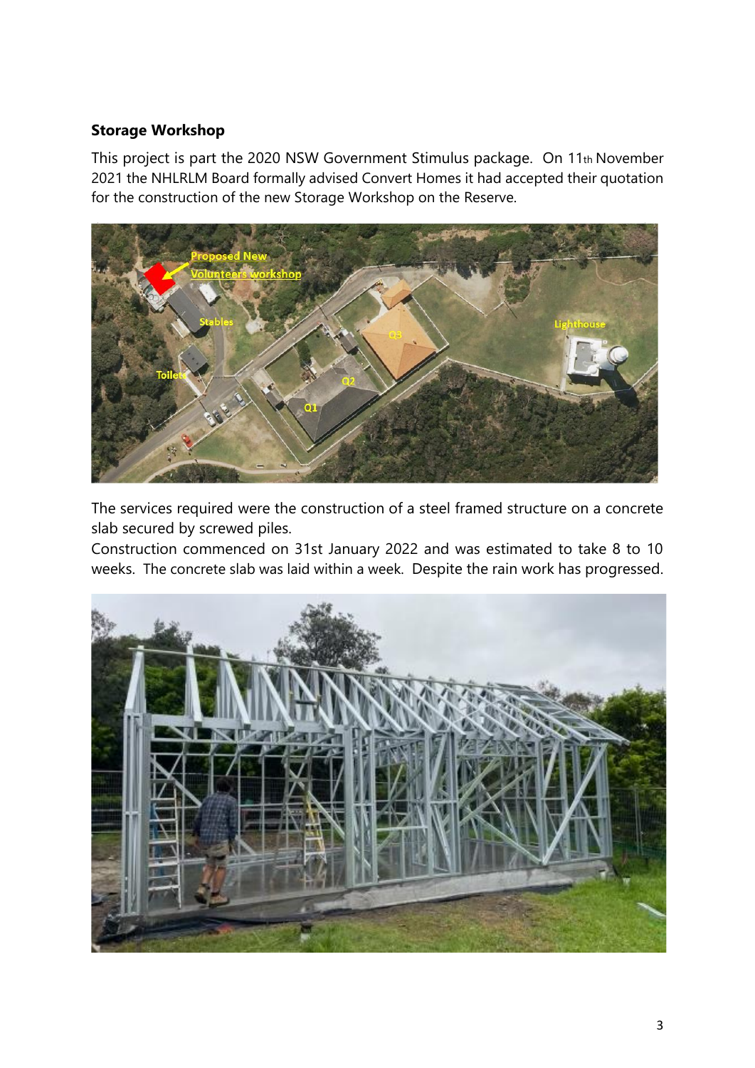## **Storage Workshop**

This project is part the 2020 NSW Government Stimulus package. On 11th November 2021 the NHLRLM Board formally advised Convert Homes it had accepted their quotation for the construction of the new Storage Workshop on the Reserve.



The services required were the construction of a steel framed structure on a concrete slab secured by screwed piles.

Construction commenced on 31st January 2022 and was estimated to take 8 to 10 weeks. The concrete slab was laid within a week. Despite the rain work has progressed.

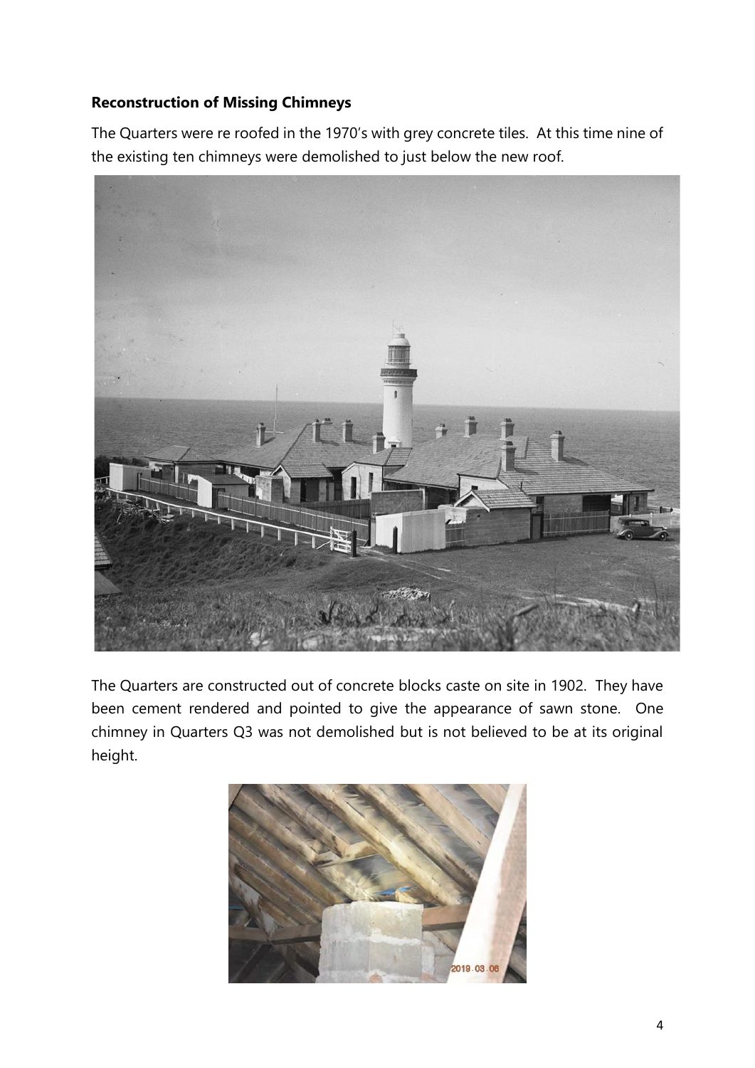# **Reconstruction of Missing Chimneys**

The Quarters were re roofed in the 1970's with grey concrete tiles. At this time nine of the existing ten chimneys were demolished to just below the new roof.



The Quarters are constructed out of concrete blocks caste on site in 1902. They have been cement rendered and pointed to give the appearance of sawn stone. One chimney in Quarters Q3 was not demolished but is not believed to be at its original height.